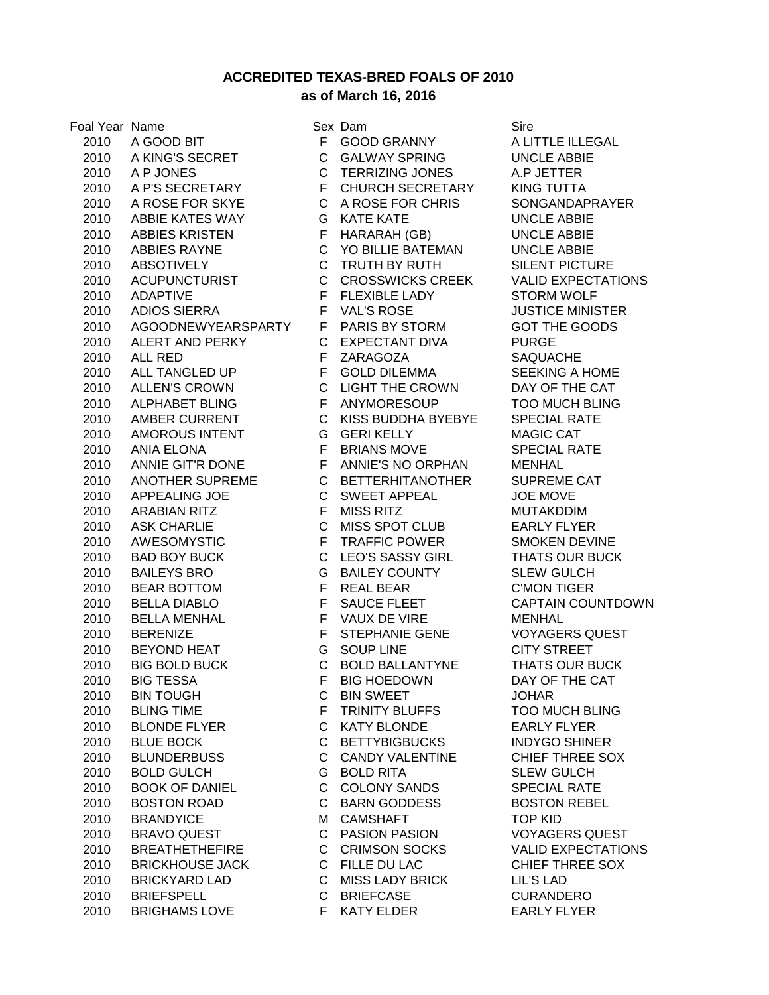**ACCREDITED TEXAS-BRED FOALS OF 2010**

## **as of March 16, 2016**

 A GOOD BIT F GOOD GRANNY A LITTLE ILLEGAL 2010 A KING'S SECRET C GALWAY SPRING UNCLE ABBIE A P JONES C TERRIZING JONES A.P JETTER A P'S SECRETARY F CHURCH SECRETARY KING TUTTA A ROSE FOR SKYE C A ROSE FOR CHRIS SONGANDAPRAYER ABBIE KATES WAY G KATE KATE UNCLE ABBIE ABBIES KRISTEN F HARARAH (GB) UNCLE ABBIE ABBIES RAYNE C YO BILLIE BATEMAN UNCLE ABBIE ABSOTIVELY C TRUTH BY RUTH SILENT PICTURE ACUPUNCTURIST C CROSSWICKS CREEK VALID EXPECTATIONS ADAPTIVE F FLEXIBLE LADY STORM WOLF ADIOS SIERRA F VAL'S ROSE JUSTICE MINISTER AGOODNEWYEARSPARTY F PARIS BY STORM GOT THE GOODS ALERT AND PERKY C EXPECTANT DIVA PURGE ALL RED F ZARAGOZA SAQUACHE 2010 ALL TANGLED UP F GOLD DILEMMA SEEKING A HOME ALLEN'S CROWN C LIGHT THE CROWN DAY OF THE CAT ALPHABET BLING F ANYMORESOUP TOO MUCH BLING AMBER CURRENT C KISS BUDDHA BYEBYE SPECIAL RATE AMOROUS INTENT G GERI KELLY MAGIC CAT ANIA ELONA F BRIANS MOVE SPECIAL RATE ANNIE GIT'R DONE F ANNIE'S NO ORPHAN MENHAL ANOTHER SUPREME C BETTERHITANOTHER SUPREME CAT APPEALING JOE C SWEET APPEAL JOE MOVE ARABIAN RITZ F MISS RITZ MUTAKDDIM ASK CHARLIE C MISS SPOT CLUB EARLY FLYER AWESOMYSTIC F TRAFFIC POWER SMOKEN DEVINE BAD BOY BUCK C LEO'S SASSY GIRL THATS OUR BUCK BAILEYS BRO G BAILEY COUNTY SLEW GULCH BEAR BOTTOM F REAL BEAR C'MON TIGER BELLA DIABLO F SAUCE FLEET CAPTAIN COUNTDOWN 2010 BELLA MENHAL F VAUX DE VIRE MENHAL BERENIZE F STEPHANIE GENE VOYAGERS QUEST BEYOND HEAT G SOUP LINE CITY STREET BIG BOLD BUCK C BOLD BALLANTYNE THATS OUR BUCK BIG TESSA F BIG HOEDOWN DAY OF THE CAT BIN TOUGH C BIN SWEET JOHAR 2010 BLING TIME F TRINITY BLUFFS TOO MUCH BLING BLONDE FLYER C KATY BLONDE EARLY FLYER BLUE BOCK C BETTYBIGBUCKS INDYGO SHINER BLUNDERBUSS C CANDY VALENTINE CHIEF THREE SOX BOLD GULCH G BOLD RITA SLEW GULCH 2010 BOOK OF DANIEL C COLONY SANDS SPECIAL RATE BOSTON ROAD C BARN GODDESS BOSTON REBEL 2010 BRANDYICE M CAMSHAFT TOP KID BRAVO QUEST C PASION PASION VOYAGERS QUEST BREATHETHEFIRE C CRIMSON SOCKS VALID EXPECTATIONS 2010 BRICKHOUSE JACK C FILLE DU LAC CHIEF THREE SOX BRICKYARD LAD C MISS LADY BRICK LIL'S LAD BRIEFSPELL C BRIEFCASE CURANDERO 2010 BRIGHAMS LOVE F KATY ELDER EARLY FLYER

Foal Year Name Sex Dam Sex Dam Sire Sire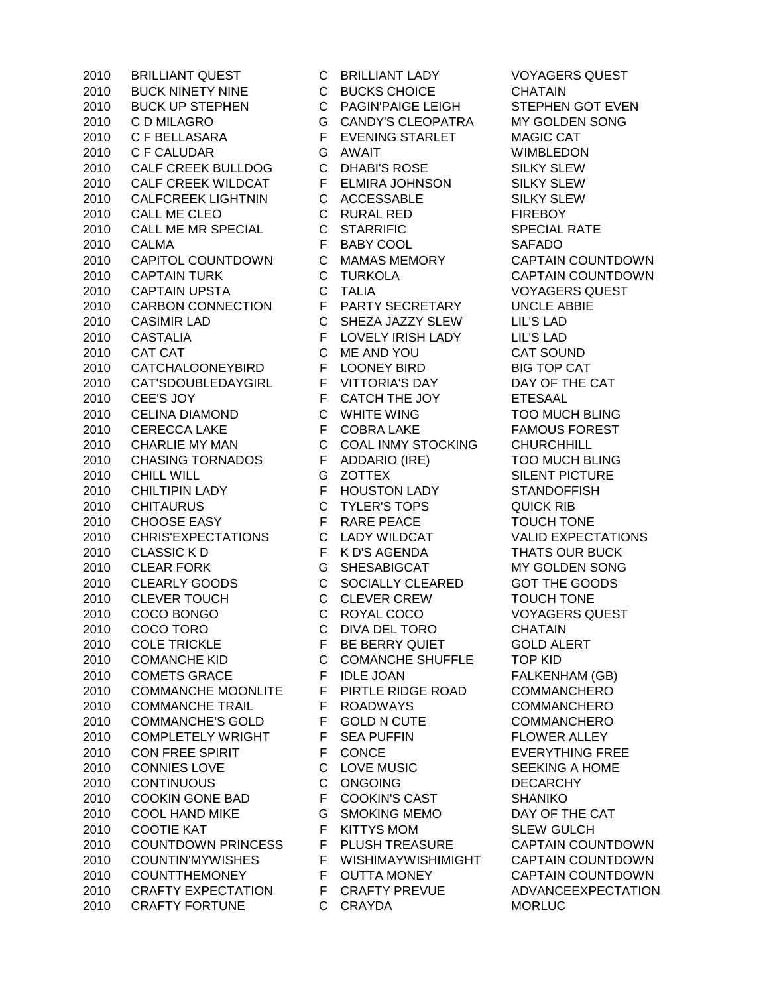BUCK NINETY NINE C BUCKS CHOICE CHATAIN BUCK UP STEPHEN C PAGIN'PAIGE LEIGH STEPHEN GOT EVEN C D MILAGRO G CANDY'S CLEOPATRA MY GOLDEN SONG C F BELLASARA F EVENING STARLET MAGIC CAT C F CALUDAR G AWAIT WIMBLEDON 2010 CALF CREEK BULLDOG C DHABI'S ROSE SILKY SLEW CALF CREEK WILDCAT F ELMIRA JOHNSON SILKY SLEW CALFCREEK LIGHTNIN C ACCESSABLE SILKY SLEW CALL ME CLEO C RURAL RED FIREBOY CALL ME MR SPECIAL C STARRIFIC SPECIAL RATE CALMA F BABY COOL SAFADO CAPITOL COUNTDOWN C MAMAS MEMORY CAPTAIN COUNTDOWN CAPTAIN TURK C TURKOLA CAPTAIN COUNTDOWN CAPTAIN UPSTA C TALIA VOYAGERS QUEST CARBON CONNECTION F PARTY SECRETARY UNCLE ABBIE CASIMIR LAD C SHEZA JAZZY SLEW LIL'S LAD CASTALIA F LOVELY IRISH LADY LIL'S LAD 2010 CAT CAT CAT C ME AND YOU CAT SOUND CATCHALOONEYBIRD F LOONEY BIRD BIG TOP CAT CAT'SDOUBLEDAYGIRL F VITTORIA'S DAY DAY OF THE CAT CEE'S JOY F CATCH THE JOY ETESAAL CELINA DIAMOND C WHITE WING TOO MUCH BLING 2010 CERECCA LAKE F COBRA LAKE FAMOUS FOREST CHARLIE MY MAN C COAL INMY STOCKING CHURCHHILL CHASING TORNADOS F ADDARIO (IRE) TOO MUCH BLING CHILL WILL G ZOTTEX SILENT PICTURE CHILTIPIN LADY F HOUSTON LADY STANDOFFISH CHITAURUS C TYLER'S TOPS QUICK RIB 2010 CHOOSE FASY FRARE PEACE TOUCH TONE CHRIS'EXPECTATIONS C LADY WILDCAT VALID EXPECTATIONS 2010 CLASSIC K D F K D'S AGENDA THATS OUR BUCK CLEAR FORK G SHESABIGCAT MY GOLDEN SONG CLEARLY GOODS C SOCIALLY CLEARED GOT THE GOODS CLEVER TOUCH C CLEVER CREW TOUCH TONE COCO BONGO C ROYAL COCO VOYAGERS QUEST COCO TORO C DIVA DEL TORO CHATAIN COLE TRICKLE F BE BERRY QUIET GOLD ALERT COMANCHE KID C COMANCHE SHUFFLE TOP KID 2010 COMETS GRACE FIDLE JOAN FALKENHAM (GB) COMMANCHE MOONLITE F PIRTLE RIDGE ROAD COMMANCHERO COMMANCHE TRAIL F ROADWAYS COMMANCHERO 2010 COMMANCHE'S GOLD F GOLD N CUTE COMMANCHERO 2010 COMPLETELY WRIGHT F SEA PUFFIN FLOWER ALLEY 2010 CON FREE SPIRIT F CONCE EVERYTHING FREE 2010 CONNIES LOVE C LOVE MUSIC SEEKING A HOME CONTINUOUS C ONGOING DECARCHY 2010 COOKIN GONE BAD F COOKIN'S CAST SHANIKO 2010 COOL HAND MIKE G SMOKING MEMO DAY OF THE CAT 2010 COOTIE KAT F KITTYS MOM SLEW GULCH COUNTDOWN PRINCESS F PLUSH TREASURE CAPTAIN COUNTDOWN COUNTIN'MYWISHES F WISHIMAYWISHIMIGHT CAPTAIN COUNTDOWN COUNTTHEMONEY F OUTTA MONEY CAPTAIN COUNTDOWN CRAFTY EXPECTATION F CRAFTY PREVUE ADVANCEEXPECTATION CRAFTY FORTUNE C CRAYDA MORLUC

BRILLIANT QUEST C BRILLIANT LADY VOYAGERS QUEST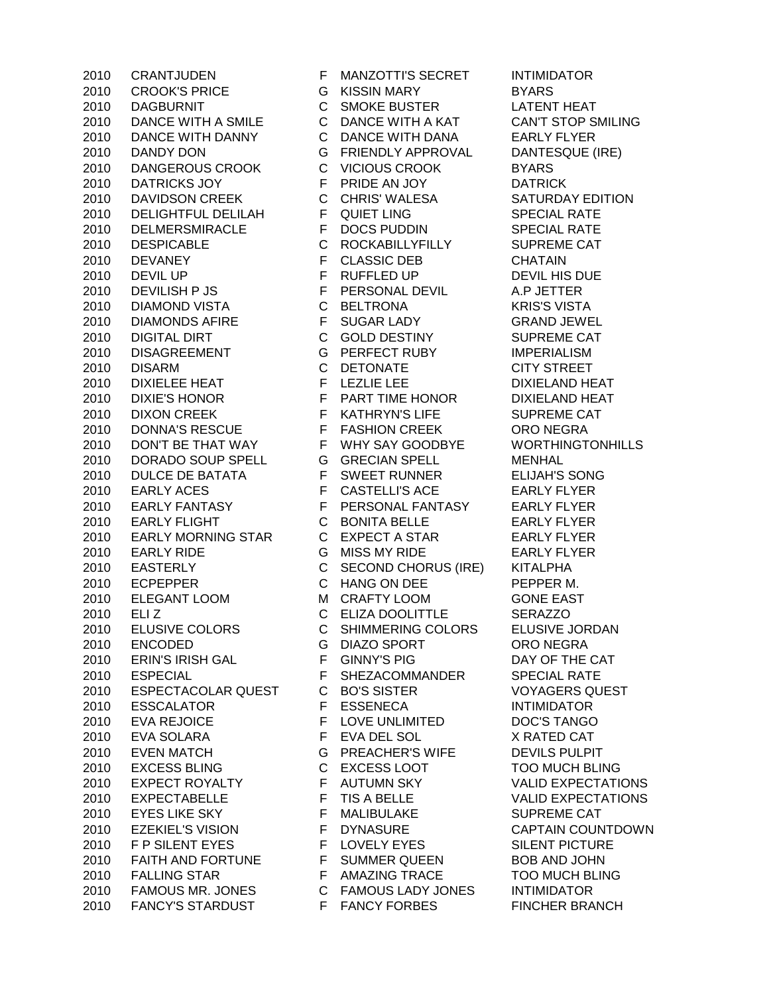CROOK'S PRICE G KISSIN MARY BYARS DAGBURNIT C SMOKE BUSTER LATENT HEAT DANCE WITH A SMILE C DANCE WITH A KAT CAN'T STOP SMILING DANCE WITH DANNY C DANCE WITH DANA EARLY FLYER DANDY DON G FRIENDLY APPROVAL DANTESQUE (IRE) DANGEROUS CROOK C VICIOUS CROOK BYARS DATRICKS JOY F PRIDE AN JOY DATRICK 2010 DAVIDSON CREEK C CHRIS' WALESA SATURDAY EDITION 2010 DELIGHTFUL DELILAH F QUIET LING SPECIAL RATE DELMERSMIRACLE F DOCS PUDDIN SPECIAL RATE DESPICABLE C ROCKABILLYFILLY SUPREME CAT DEVANEY F CLASSIC DEB CHATAIN 2010 DEVIL UP FRUFFLED UP DEVIL HIS DUE DEVILISH P JS F PERSONAL DEVIL A.P JETTER DIAMOND VISTA C BELTRONA KRIS'S VISTA DIAMONDS AFIRE F SUGAR LADY GRAND JEWEL DIGITAL DIRT C GOLD DESTINY SUPREME CAT DISAGREEMENT G PERFECT RUBY IMPERIALISM DISARM C DETONATE CITY STREET 2010 DIXIELEE HEAT FEEZLIE LEE DIXIELAND HEAT DIXIE'S HONOR F PART TIME HONOR DIXIELAND HEAT 2010 DIXON CREEK F KATHRYN'S LIFE SUPREME CAT 2010 DONNA'S RESCUE F FASHION CREEK ORO NEGRA DON'T BE THAT WAY F WHY SAY GOODBYE WORTHINGTONHILLS DORADO SOUP SPELL G GRECIAN SPELL MENHAL 2010 DULCE DE BATATA F SWEET RUNNER ELIJAH'S SONG EARLY ACES F CASTELLI'S ACE EARLY FLYER EARLY FANTASY F PERSONAL FANTASY EARLY FLYER EARLY FLIGHT C BONITA BELLE EARLY FLYER EARLY MORNING STAR C EXPECT A STAR EARLY FLYER EARLY RIDE G MISS MY RIDE EARLY FLYER EASTERLY C SECOND CHORUS (IRE) KITALPHA 2010 ECPEPPER C HANG ON DEE PEPPER M. ELEGANT LOOM M CRAFTY LOOM GONE EAST 2010 ELIZ C ELIZA DOOLITTLE SERAZZO ELUSIVE COLORS C SHIMMERING COLORS ELUSIVE JORDAN ENCODED G DIAZO SPORT ORO NEGRA ERIN'S IRISH GAL F GINNY'S PIG DAY OF THE CAT 2010 ESPECIAL **F** SHEZACOMMANDER SPECIAL RATE ESPECTACOLAR QUEST C BO'S SISTER VOYAGERS QUEST ESSCALATOR F ESSENECA INTIMIDATOR 2010 EVA REJOICE THE LOVE UNLIMITED DOC'S TANGO EVA SOLARA F EVA DEL SOL X RATED CAT EVEN MATCH G PREACHER'S WIFE DEVILS PULPIT EXCESS BLING C EXCESS LOOT TOO MUCH BLING EXPECT ROYALTY F AUTUMN SKY VALID EXPECTATIONS EXPECTABELLE F TIS A BELLE VALID EXPECTATIONS 2010 EYES LIKE SKY F MALIBULAKE SUPREME CAT EZEKIEL'S VISION F DYNASURE CAPTAIN COUNTDOWN 2010 F P SILENT EYES F LOVELY EYES SILENT PICTURE 2010 FAITH AND FORTUNE F SUMMER QUEEN BOB AND JOHN FALLING STAR F AMAZING TRACE TOO MUCH BLING FAMOUS MR. JONES C FAMOUS LADY JONES INTIMIDATOR 2010 FANCY'S STARDUST F FANCY FORBES FINCHER BRANCH

CRANTJUDEN F MANZOTTI'S SECRET INTIMIDATOR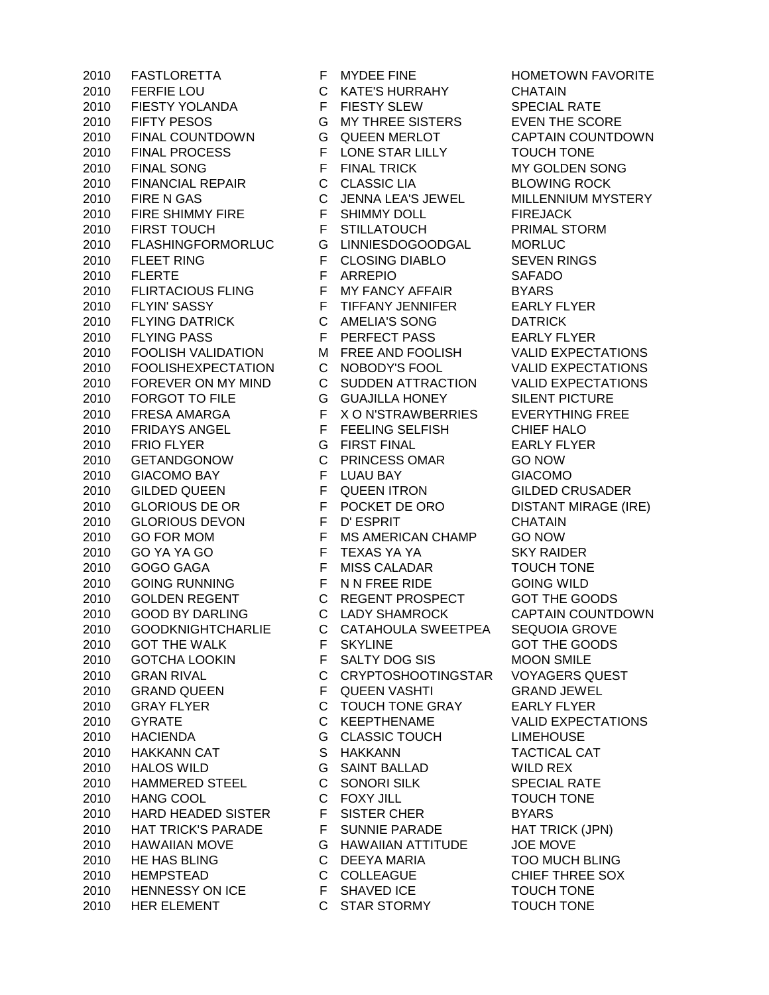FERFIE LOU C KATE'S HURRAHY CHATAIN FIESTY YOLANDA F FIESTY SLEW SPECIAL RATE FIFTY PESOS G MY THREE SISTERS EVEN THE SCORE FINAL COUNTDOWN G QUEEN MERLOT CAPTAIN COUNTDOWN 2010 FINAL PROCESS F LONE STAR LILLY TOUCH TONE 2010 FINAL SONG FRINAL TRICK MY GOLDEN SONG FINANCIAL REPAIR C CLASSIC LIA BLOWING ROCK FIRE N GAS C JENNA LEA'S JEWEL MILLENNIUM MYSTERY 2010 FIRE SHIMMY FIRE F SHIMMY DOLL FIREJACK 2010 FIRST TOUCH F STILLATOUCH PRIMAL STORM FLASHINGFORMORLUC G LINNIESDOGOODGAL MORLUC 2010 FLEET RING F CLOSING DIABLO SEVEN RINGS FLERTE F ARREPIO SAFADO 2010 FLIRTACIOUS FLING F MY FANCY AFFAIR BYARS 2010 FLYIN' SASSY F TIFFANY JENNIFER EARLY FLYER FLYING DATRICK C AMELIA'S SONG DATRICK 2010 FLYING PASS F PERFECT PASS EARLY FLYER FOOLISH VALIDATION M FREE AND FOOLISH VALID EXPECTATIONS FOOLISHEXPECTATION C NOBODY'S FOOL VALID EXPECTATIONS FOREVER ON MY MIND C SUDDEN ATTRACTION VALID EXPECTATIONS FORGOT TO FILE G GUAJILLA HONEY SILENT PICTURE FRESA AMARGA F X O N'STRAWBERRIES EVERYTHING FREE 2010 FRIDAYS ANGEL FFEELING SELFISH CHIEF HALO FRIO FLYER G FIRST FINAL EARLY FLYER GETANDGONOW C PRINCESS OMAR GO NOW GIACOMO BAY F LUAU BAY GIACOMO GILDED QUEEN F QUEEN ITRON GILDED CRUSADER 2010 GLORIOUS DE OR F POCKET DE ORO DISTANT MIRAGE (IRE) GLORIOUS DEVON F D' ESPRIT CHATAIN GO FOR MOM F MS AMERICAN CHAMP GO NOW 2010 GO YA YA GO F TEXAS YA YA SKY RAIDER GOGO GAGA F MISS CALADAR TOUCH TONE GOING RUNNING F N N FREE RIDE GOING WILD 2010 GOLDEN REGENT C REGENT PROSPECT GOT THE GOODS GOOD BY DARLING C LADY SHAMROCK CAPTAIN COUNTDOWN GOODKNIGHTCHARLIE C CATAHOULA SWEETPEA SEQUOIA GROVE 2010 GOT THE WALK F SKYLINE GOT THE GOODS GOTCHA LOOKIN F SALTY DOG SIS MOON SMILE GRAN RIVAL C CRYPTOSHOOTINGSTAR VOYAGERS QUEST 2010 GRAND QUEEN THE QUEEN VASHTI GRAND JEWEL 2010 GRAY FLYER C TOUCH TONE GRAY EARLY FLYER GYRATE C KEEPTHENAME VALID EXPECTATIONS HACIENDA G CLASSIC TOUCH LIMEHOUSE HAKKANN CAT S HAKKANN TACTICAL CAT HALOS WILD G SAINT BALLAD WILD REX HAMMERED STEEL C SONORI SILK SPECIAL RATE HANG COOL C FOXY JILL TOUCH TONE 2010 HARD HEADED SISTER F SISTER CHER BYARS 2010 HAT TRICK'S PARADE F SUNNIE PARADE HAT TRICK (JPN) HAWAIIAN MOVE G HAWAIIAN ATTITUDE JOE MOVE HE HAS BLING C DEEYA MARIA TOO MUCH BLING HEMPSTEAD C COLLEAGUE CHIEF THREE SOX 2010 HENNESSY ON ICE F SHAVED ICE TOUCH TONE HER ELEMENT C STAR STORMY TOUCH TONE

2010 FASTLORETTA F MYDEE FINE FINE HOMETOWN FAVORITE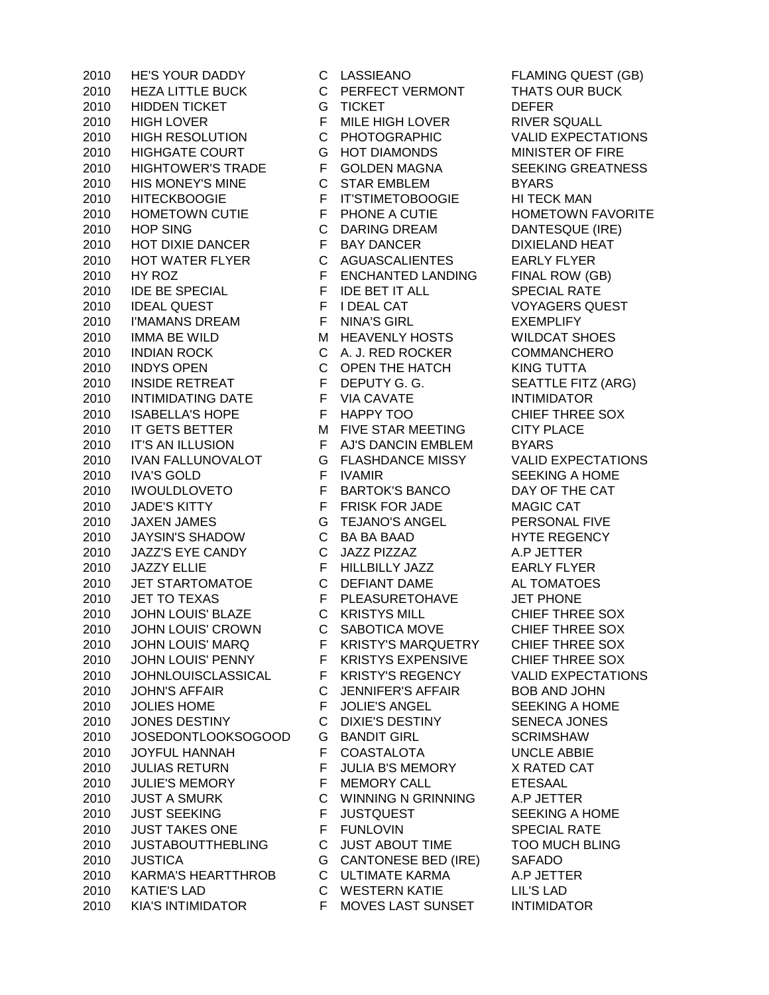HEZA LITTLE BUCK C PERFECT VERMONT THATS OUR BUCK HIDDEN TICKET G TICKET DEFER 2010 HIGH LOVER **F MILE HIGH LOVER** RIVER SQUALL HIGH RESOLUTION C PHOTOGRAPHIC VALID EXPECTATIONS HIGHGATE COURT G HOT DIAMONDS MINISTER OF FIRE HIGHTOWER'S TRADE F GOLDEN MAGNA SEEKING GREATNESS HIS MONEY'S MINE C STAR EMBLEM BYARS HITECKBOOGIE F IT'STIMETOBOOGIE HI TECK MAN 2010 HOMETOWN CUTIE F PHONE A CUTIE F HOMETOWN FAVORITE HOP SING C DARING DREAM DANTESQUE (IRE) 2010 HOT DIXIE DANCER F BAY DANCER DIXIELAND HEAT HOT WATER FLYER C AGUASCALIENTES EARLY FLYER 2010 HY ROZ **FENCHANTED LANDING** FINAL ROW (GB) 2010 IDE BE SPECIAL FIDE BET IT ALL SPECIAL RATE IDEAL QUEST F I DEAL CAT VOYAGERS QUEST I'MAMANS DREAM F NINA'S GIRL EXEMPLIFY 2010 IMMA BE WILD **M** HEAVENLY HOSTS WILDCAT SHOES INDIAN ROCK C A. J. RED ROCKER COMMANCHERO INDYS OPEN C OPEN THE HATCH KING TUTTA 2010 INSIDE RETREAT F DEPUTY G. G. SEATTLE FITZ (ARG) 2010 INTIMIDATING DATE F VIA CAVATE INTIMIDATOR 2010 ISABELLA'S HOPE F HAPPY TOO CHIEF THREE SOX 2010 IT GETS BETTER M FIVE STAR MEETING CITY PLACE IT'S AN ILLUSION F AJ'S DANCIN EMBLEM BYARS IVAN FALLUNOVALOT G FLASHDANCE MISSY VALID EXPECTATIONS 2010 IVA'S GOLD FIVAMIR SEEKING A HOME IWOULDLOVETO F BARTOK'S BANCO DAY OF THE CAT 2010 JADE'S KITTY F FRISK FOR JADE MAGIC CAT JAXEN JAMES G TEJANO'S ANGEL PERSONAL FIVE JAYSIN'S SHADOW C BA BA BAAD HYTE REGENCY JAZZ'S EYE CANDY C JAZZ PIZZAZ A.P JETTER 2010 JAZZY ELLIE F HILLBILLY JAZZ EARLY FLYER JET STARTOMATOE C DEFIANT DAME AL TOMATOES 2010 JET TO TEXAS F PLEASURETOHAVE JET PHONE JOHN LOUIS' BLAZE C KRISTYS MILL CHIEF THREE SOX JOHN LOUIS' CROWN C SABOTICA MOVE CHIEF THREE SOX 2010 JOHN LOUIS' MARQ F KRISTY'S MARQUETRY CHIEF THREE SOX JOHN LOUIS' PENNY F KRISTYS EXPENSIVE CHIEF THREE SOX JOHNLOUISCLASSICAL F KRISTY'S REGENCY VALID EXPECTATIONS JOHN'S AFFAIR C JENNIFER'S AFFAIR BOB AND JOHN 2010 JOLIES HOME **F** JOLIE'S ANGEL SEEKING A HOME JONES DESTINY C DIXIE'S DESTINY SENECA JONES 2010 JOSEDONTLOOKSOGOOD G BANDIT GIRL SCRIMSHAW JOYFUL HANNAH F COASTALOTA UNCLE ABBIE JULIAS RETURN F JULIA B'S MEMORY X RATED CAT JULIE'S MEMORY F MEMORY CALL ETESAAL JUST A SMURK C WINNING N GRINNING A.P JETTER 2010 JUST SEEKING F JUSTQUEST SEEKING A HOME 2010 JUST TAKES ONE FINILOVIN SPECIAL RATE JUSTABOUTTHEBLING C JUST ABOUT TIME TOO MUCH BLING JUSTICA G CANTONESE BED (IRE) SAFADO KARMA'S HEARTTHROB C ULTIMATE KARMA A.P JETTER KATIE'S LAD C WESTERN KATIE LIL'S LAD KIA'S INTIMIDATOR F MOVES LAST SUNSET INTIMIDATOR

HE'S YOUR DADDY C LASSIEANO FLAMING QUEST (GB)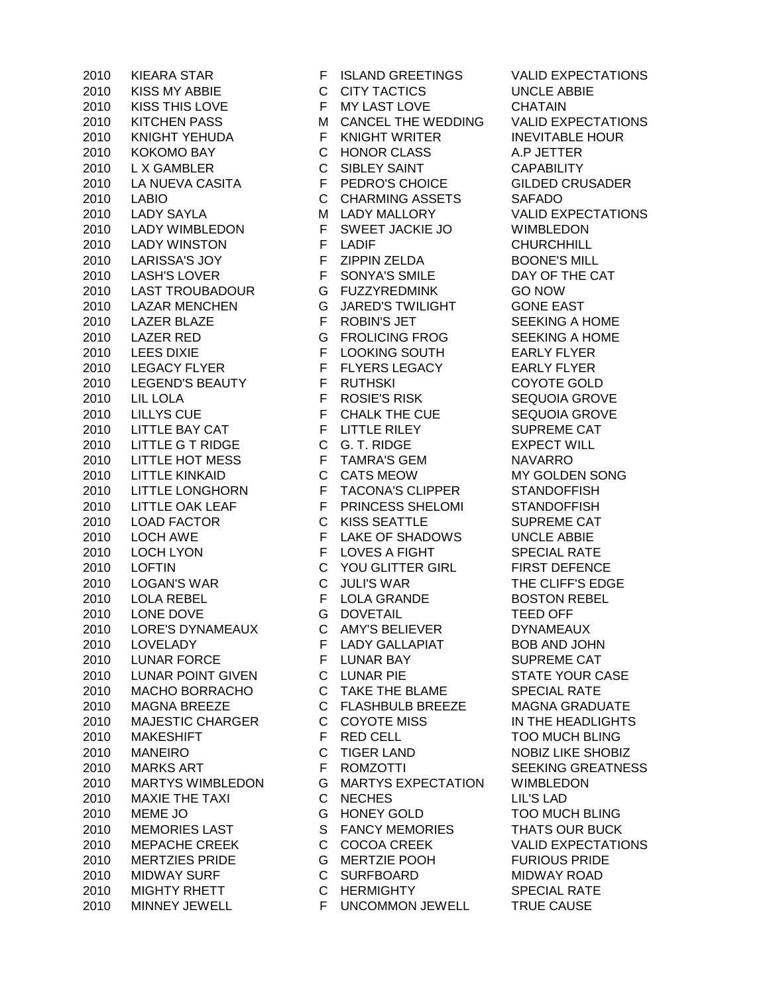KISS MY ABBIE C CITY TACTICS UNCLE ABBIE KISS THIS LOVE F MY LAST LOVE CHATAIN KITCHEN PASS M CANCEL THE WEDDING VALID EXPECTATIONS 2010 KNIGHT YEHUDA F KNIGHT WRITER INEVITABLE HOUR KOKOMO BAY C HONOR CLASS A.P JETTER L X GAMBLER C SIBLEY SAINT CAPABILITY LA NUEVA CASITA F PEDRO'S CHOICE GILDED CRUSADER LABIO C CHARMING ASSETS SAFADO 2010 LADY SAYLA M LADY MALLORY VALID EXPECTATIONS LADY WIMBLEDON F SWEET JACKIE JO WIMBLEDON 2010 LADY WINSTON F LADIF F LADIF CHURCHHILL 2010 LARISSA'S JOY F ZIPPIN ZELDA BOONE'S MILL 2010 LASH'S LOVER F SONYA'S SMILE DAY OF THE CAT LAST TROUBADOUR G FUZZYREDMINK GO NOW LAZAR MENCHEN G JARED'S TWILIGHT GONE EAST 2010 LAZER BLAZE FROBIN'S JET SEEKING A HOME LAZER RED G FROLICING FROG SEEKING A HOME LEES DIXIE F LOOKING SOUTH EARLY FLYER LEGACY FLYER F FLYERS LEGACY EARLY FLYER LEGEND'S BEAUTY F RUTHSKI COYOTE GOLD LIL LOLA F ROSIE'S RISK SEQUOIA GROVE 2010 LILLYS CUE F CHALK THE CUE SEQUOIA GROVE 2010 LITTLE BAY CAT FUITTLE RILEY SUPREME CAT 2010 LITTLE G T RIDGE C G. T. RIDGE EXPECT WILL 2010 LITTLE HOT MESS F TAMRA'S GEM NAVARRO LITTLE KINKAID C CATS MEOW MY GOLDEN SONG LITTLE LONGHORN F TACONA'S CLIPPER STANDOFFISH 2010 LITTLE OAK LEAF F PRINCESS SHELOMI STANDOFFISH LOAD FACTOR C KISS SEATTLE SUPREME CAT LOCH AWE F LAKE OF SHADOWS UNCLE ABBIE 2010 LOCH LYON F LOVES A FIGHT SPECIAL RATE LOFTIN C YOU GLITTER GIRL FIRST DEFENCE LOGAN'S WAR C JULI'S WAR THE CLIFF'S EDGE LOLA REBEL F LOLA GRANDE BOSTON REBEL LONE DOVE G DOVETAIL TEED OFF LORE'S DYNAMEAUX C AMY'S BELIEVER DYNAMEAUX 2010 LOVELADY **FLADY GALLAPIAT BOB AND JOHN**  LUNAR FORCE F LUNAR BAY SUPREME CAT LUNAR POINT GIVEN C LUNAR PIE STATE YOUR CASE MACHO BORRACHO C TAKE THE BLAME SPECIAL RATE MAGNA BREEZE C FLASHBULB BREEZE MAGNA GRADUATE 2010 MAJESTIC CHARGER C COYOTE MISS IN THE HEADLIGHTS 2010 MAKESHIFT FRED CELL TOO MUCH BLING 2010 MANEIRO C TIGER LAND NOBIZ LIKE SHOBIZ 2010 MARKS ART FROMZOTTI SEEKING GREATNESS MARTYS WIMBLEDON G MARTYS EXPECTATION WIMBLEDON MAXIE THE TAXI C NECHES LIL'S LAD MEME JO G HONEY GOLD TOO MUCH BLING 2010 MEMORIES LAST S FANCY MEMORIES THATS OUR BUCK 2010 MEPACHE CREEK C COCOA CREEK VALID EXPECTATIONS MERTZIES PRIDE G MERTZIE POOH FURIOUS PRIDE MIDWAY SURF C SURFBOARD MIDWAY ROAD 2010 MIGHTY RHETT C HERMIGHTY SPECIAL RATE MINNEY JEWELL F UNCOMMON JEWELL TRUE CAUSE

KIEARA STAR F ISLAND GREETINGS VALID EXPECTATIONS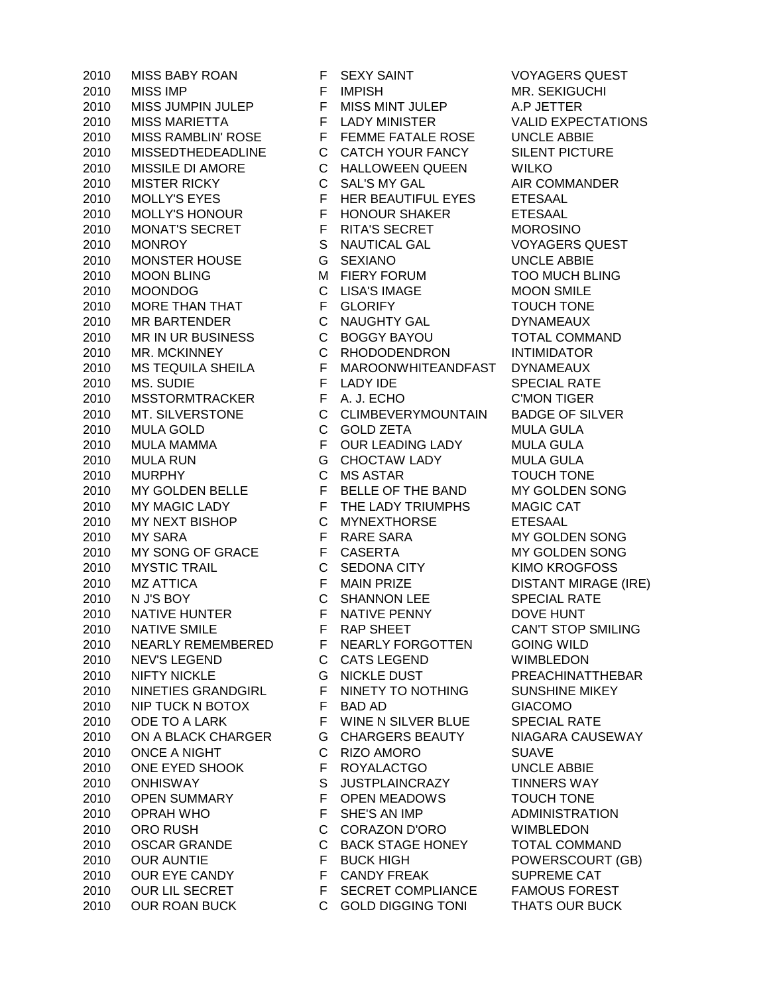2010 MISS IMP **FIMPISH** FIMPISH MR. SEKIGUCHI 2010 MISS JUMPIN JULEP F MISS MINT JULEP A.P JETTER 2010 MISS MARIETTA F LADY MINISTER VALID EXPECTATIONS 2010 MISS RAMBLIN' ROSE FEMME FATALE ROSE UNCLE ABBIE 2010 MISSEDTHEDEADLINE C CATCH YOUR FANCY SILENT PICTURE 2010 MISSILE DI AMORE C HALLOWEEN QUEEN WILKO 2010 MISTER RICKY C SAL'S MY GAL AIR COMMANDER 2010 MOLLY'S EYES FER HER BEAUTIFUL EYES FTESAAL 2010 MOLLY'S HONOUR F HONOUR SHAKER ETESAAL 2010 MONAT'S SECRET FRITA'S SECRET MOROSINO 2010 MONROY S NAUTICAL GAL VOYAGERS QUEST 2010 MONSTER HOUSE G SEXIANO UNCLE ABBIE 2010 MOON BLING M FIERY FORUM TOO MUCH BLING 2010 MOONDOG C LISA'S IMAGE MOON SMILE 2010 MORE THAN THAT **F** GLORIFY **TOUCH TONE** 2010 MR BARTENDER C NAUGHTY GAL DYNAMEAUX 2010 MR IN UR BUSINESS C BOGGY BAYOU TOTAL COMMAND 2010 MR. MCKINNEY C RHODODENDRON INTIMIDATOR 2010 MS TEQUILA SHEILA F MAROONWHITEANDFAST DYNAMEAUX 2010 MS. SUDIE FLADY IDE SPECIAL RATE 2010 MSSTORMTRACKER F A. J. ECHO C'MON TIGER 2010 MT. SILVERSTONE C CLIMBEVERYMOUNTAIN BADGE OF SILVER 2010 MULA GOLD C GOLD ZETA MULA GULA 2010 MULA MAMMA F OUR LEADING LADY MULA GULA 2010 MULA RUN G CHOCTAW LADY MULA GULA 2010 MURPHY C MS ASTAR TOUCH TONE 2010 MY GOLDEN BELLE F BELLE OF THE BAND MY GOLDEN SONG 2010 MY MAGIC LADY F THE LADY TRIUMPHS MAGIC CAT 2010 MY NEXT BISHOP C MYNEXTHORSE ETESAAL 2010 MY SARA F RARE SARA MY GOLDEN SONG 2010 MY SONG OF GRACE F CASERTA MY GOLDEN SONG 2010 MYSTIC TRAIL C SEDONA CITY KIMO KROGFOSS 2010 MZ ATTICA F MAIN PRIZE DISTANT MIRAGE (IRE) 2010 N J'S BOY C SHANNON LEE SPECIAL RATE 2010 NATIVE HUNTER F NATIVE PENNY DOVE HUNT 2010 NATIVE SMILE FRAP SHEET CAN'T STOP SMILING 2010 NEARLY REMEMBERED F NEARLY FORGOTTEN GOING WILD 2010 NEV'S LEGEND C CATS LEGEND WIMBLEDON 2010 NIFTY NICKLE **All Accord CENT CONTING THE SEAGE OF A REACHINATTHEBAR** 2010 NINETIES GRANDGIRL F NINETY TO NOTHING SUNSHINE MIKEY 2010 NIP TUCK N BOTOX F BAD AD GIACOMO 2010 ODE TO A LARK F WINE N SILVER BLUE SPECIAL RATE 2010 ON A BLACK CHARGER G CHARGERS BEAUTY NIAGARA CAUSEWAY 2010 ONCE A NIGHT C RIZO AMORO SUAVE 2010 ONE EYED SHOOK F ROYALACTGO UNCLE ABBIE 2010 ONHISWAY S JUSTPLAINCRAZY TINNERS WAY 2010 OPEN SUMMARY F OPEN MEADOWS TOUCH TONE 2010 OPRAH WHO **F** SHE'S AN IMP ADMINISTRATION 2010 ORO RUSH C CORAZON D'ORO WIMBLEDON 2010 OSCAR GRANDE C BACK STAGE HONEY TOTAL COMMAND 2010 OUR AUNTIE F BUCK HIGH POWERSCOURT (GB) 2010 OUR EYE CANDY F CANDY FREAK SUPREME CAT 2010 OUR LIL SECRET F SECRET COMPLIANCE FAMOUS FOREST 2010 OUR ROAN BUCK C GOLD DIGGING TONI THATS OUR BUCK

2010 MISS BABY ROAN F SEXY SAINT VOYAGERS QUEST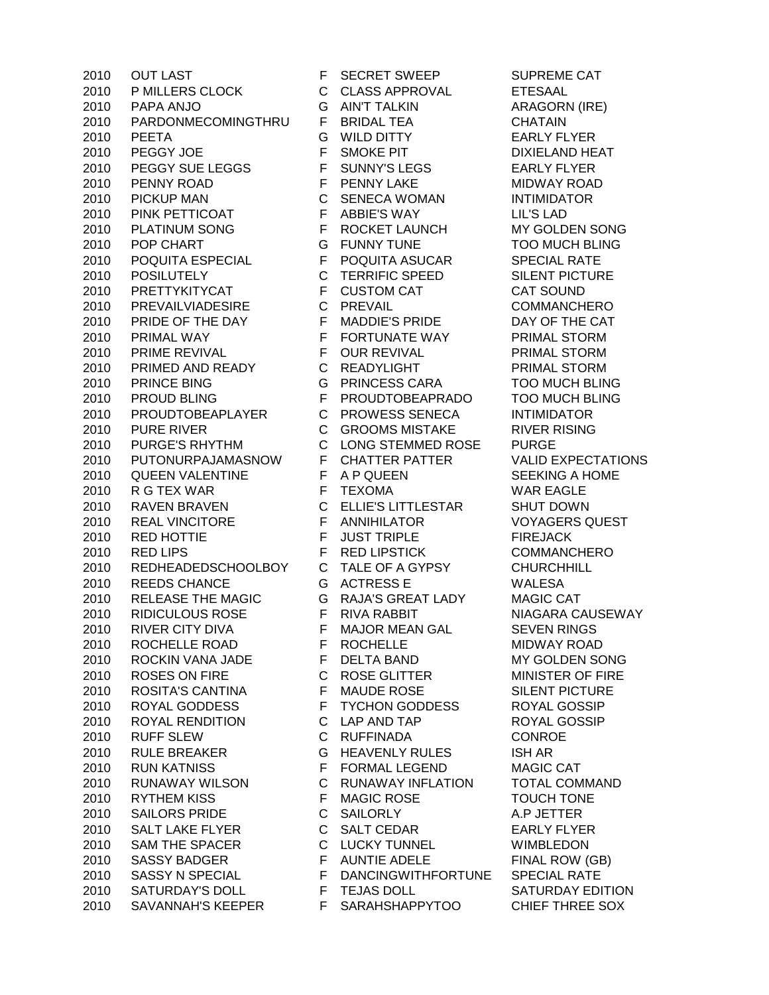2010 OUT LAST F SECRET SWEEP SUPREME CAT P MILLERS CLOCK C CLASS APPROVAL ETESAAL PAPA ANJO G AIN'T TALKIN ARAGORN (IRE) PARDONMECOMINGTHRU F BRIDAL TEA CHATAIN PEETA G WILD DITTY EARLY FLYER 2010 PEGGY JOE F SMOKE PIT DIXIELAND HEAT 2010 PEGGY SUE LEGGS F SUNNY'S LEGS EARLY FLYER PENNY ROAD F PENNY LAKE MIDWAY ROAD PICKUP MAN C SENECA WOMAN INTIMIDATOR PINK PETTICOAT F ABBIE'S WAY LIL'S LAD 2010 PLATINUM SONG F ROCKET LAUNCH MY GOLDEN SONG POP CHART G FUNNY TUNE TOO MUCH BLING POQUITA ESPECIAL F POQUITA ASUCAR SPECIAL RATE POSILUTELY C TERRIFIC SPEED SILENT PICTURE PRETTYKITYCAT F CUSTOM CAT CAT SOUND PREVAILVIADESIRE C PREVAIL COMMANCHERO PRIDE OF THE DAY F MADDIE'S PRIDE DAY OF THE CAT 2010 PRIMAL WAY **F FORTUNATE WAY** PRIMAL STORM PRIME REVIVAL F OUR REVIVAL PRIMAL STORM 2010 PRIMED AND READY C READYLIGHT PRIMAL STORM PRINCE BING G PRINCESS CARA TOO MUCH BLING PROUD BLING F PROUDTOBEAPRADO TOO MUCH BLING PROUDTOBEAPLAYER C PROWESS SENECA INTIMIDATOR 2010 PURE RIVER **C GROOMS MISTAKE** RIVER RISING PURGE'S RHYTHM C LONG STEMMED ROSE PURGE PUTONURPAJAMASNOW F CHATTER PATTER VALID EXPECTATIONS QUEEN VALENTINE F A P QUEEN SEEKING A HOME 2010 R G TEX WAR F TEXOMA F TEXOMA RAVEN BRAVEN C ELLIE'S LITTLESTAR SHUT DOWN REAL VINCITORE F ANNIHILATOR VOYAGERS QUEST RED HOTTIE F JUST TRIPLE FIREJACK 2010 RED LIPS **FRED LIPSTICK COMMANCHERO**  REDHEADEDSCHOOLBOY C TALE OF A GYPSY CHURCHHILL REEDS CHANCE G ACTRESS E WALESA 2010 RELEASE THE MAGIC GRAJA'S GREAT LADY MAGIC CAT 2010 RIDICULOUS ROSE FRIVA RABBIT NIAGARA CAUSEWAY 2010 RIVER CITY DIVA F MAJOR MEAN GAL SEVEN RINGS ROCHELLE ROAD F ROCHELLE MIDWAY ROAD ROCKIN VANA JADE F DELTA BAND MY GOLDEN SONG 2010 ROSES ON FIRE C ROSE GLITTER MINISTER OF FIRE 2010 ROSITA'S CANTINA F MAUDE ROSE SILENT PICTURE ROYAL GODDESS F TYCHON GODDESS ROYAL GOSSIP ROYAL RENDITION C LAP AND TAP ROYAL GOSSIP RUFF SLEW C RUFFINADA CONROE 2010 RULE BREAKER G HEAVENLY RULES ISH AR RUN KATNISS F FORMAL LEGEND MAGIC CAT RUNAWAY WILSON C RUNAWAY INFLATION TOTAL COMMAND RYTHEM KISS F MAGIC ROSE TOUCH TONE SAILORS PRIDE C SAILORLY A.P JETTER 2010 SALT LAKE FLYER C SALT CEDAR EARLY FLYER SAM THE SPACER C LUCKY TUNNEL WIMBLEDON 2010 SASSY BADGER F AUNTIE ADELE FINAL ROW (GB) SASSY N SPECIAL F DANCINGWITHFORTUNE SPECIAL RATE 2010 SATURDAY'S DOLL F TEJAS DOLL SATURDAY EDITION 2010 SAVANNAH'S KEEPER F SARAHSHAPPYTOO CHIEF THREE SOX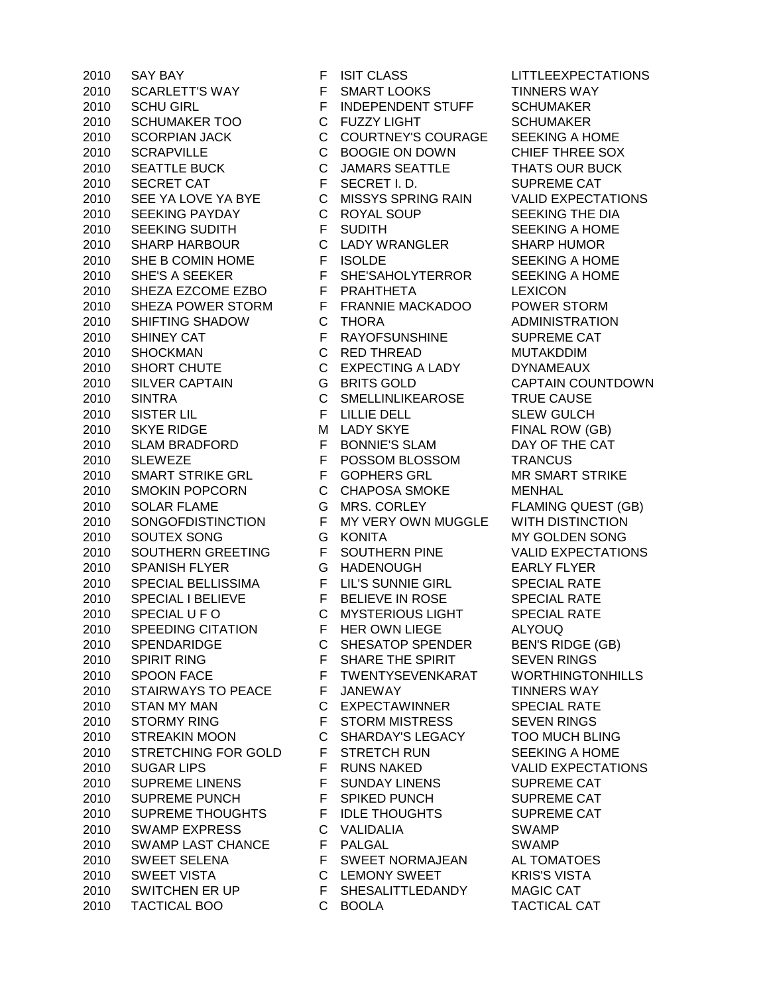SCARLETT'S WAY F SMART LOOKS TINNERS WAY SCHU GIRL F INDEPENDENT STUFF SCHUMAKER SCHUMAKER TOO C FUZZY LIGHT SCHUMAKER SCORPIAN JACK C COURTNEY'S COURAGE SEEKING A HOME SCRAPVILLE C BOOGIE ON DOWN CHIEF THREE SOX 2010 SEATTLE BUCK C JAMARS SEATTLE THATS OUR BUCK 2010 SECRET CAT F SECRET I.D. SUPREME CAT SEE YA LOVE YA BYE C MISSYS SPRING RAIN VALID EXPECTATIONS 2010 SEEKING PAYDAY C ROYAL SOUP SEEKING THE DIA 2010 SEEKING SUDITH F SUDITH SEEKING A HOME SHARP HARBOUR C LADY WRANGLER SHARP HUMOR 2010 SHE B COMIN HOME FISOLDE SEEKING A HOME 2010 SHE'S A SEEKER F SHE'SAHOLYTERROR SEEKING A HOME SHEZA EZCOME EZBO F PRAHTHETA LEXICON SHEZA POWER STORM F FRANNIE MACKADOO POWER STORM SHIFTING SHADOW C THORA ADMINISTRATION 2010 SHINEY CAT **FRAYOFSUNSHINE SUPREME CAT**  SHOCKMAN C RED THREAD MUTAKDDIM SHORT CHUTE C EXPECTING A LADY DYNAMEAUX SILVER CAPTAIN G BRITS GOLD CAPTAIN COUNTDOWN SINTRA C SMELLINLIKEAROSE TRUE CAUSE SISTER LIL F LILLIE DELL SLEW GULCH 2010 SKYE RIDGE M LADY SKYE FINAL ROW (GB) SLAM BRADFORD F BONNIE'S SLAM DAY OF THE CAT SLEWEZE F POSSOM BLOSSOM TRANCUS 2010 SMART STRIKE GRL F GOPHERS GRL MR SMART STRIKE SMOKIN POPCORN C CHAPOSA SMOKE MENHAL SOLAR FLAME G MRS. CORLEY FLAMING QUEST (GB) SONGOFDISTINCTION F MY VERY OWN MUGGLE WITH DISTINCTION SOUTEX SONG G KONITA MY GOLDEN SONG SOUTHERN GREETING F SOUTHERN PINE VALID EXPECTATIONS SPANISH FLYER G HADENOUGH EARLY FLYER SPECIAL BELLISSIMA F LIL'S SUNNIE GIRL SPECIAL RATE 2010 SPECIAL I BELIEVE F BELIEVE IN ROSE SPECIAL RATE 2010 SPECIAL U F O C MYSTERIOUS LIGHT SPECIAL RATE SPEEDING CITATION F HER OWN LIEGE ALYOUQ 2010 SPENDARIDGE C SHESATOP SPENDER BEN'S RIDGE (GB) 2010 SPIRIT RING **F** SHARE THE SPIRIT SEVEN RINGS SPOON FACE F TWENTYSEVENKARAT WORTHINGTONHILLS 2010 STAIRWAYS TO PEACE F JANEWAY TINNERS WAY STAN MY MAN C EXPECTAWINNER SPECIAL RATE 2010 STORMY RING F STORM MISTRESS SEVEN RINGS STREAKIN MOON C SHARDAY'S LEGACY TOO MUCH BLING STRETCHING FOR GOLD F STRETCH RUN SEEKING A HOME 2010 SUGAR LIPS FRUNS NAKED VALID EXPECTATIONS SUPREME LINENS F SUNDAY LINENS SUPREME CAT 2010 SUPREME PUNCH F SPIKED PUNCH SUPREME CAT 2010 SUPREME THOUGHTS F IDLE THOUGHTS SUPREME CAT SWAMP EXPRESS C VALIDALIA SWAMP SWAMP LAST CHANCE F PALGAL SWAMP SWEET SELENA F SWEET NORMAJEAN AL TOMATOES SWEET VISTA C LEMONY SWEET KRIS'S VISTA 2010 SWITCHEN ER UP F SHESALITTLEDANDY MAGIC CAT TACTICAL BOO C BOOLA TACTICAL CAT

2010 SAY BAY **FISIT CLASS** LITTLEEXPECTATIONS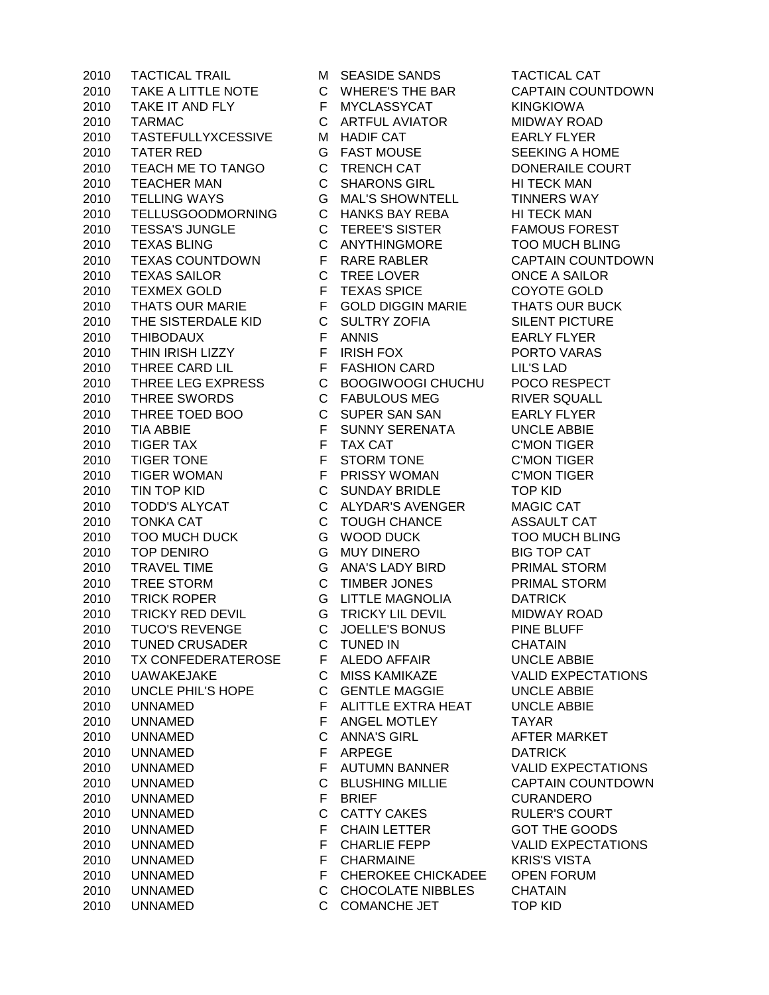TAKE A LITTLE NOTE C WHERE'S THE BAR CAPTAIN COUNTDOWN 2010 TAKE IT AND FLY F MYCLASSYCAT KINGKIOWA TARMAC C ARTFUL AVIATOR MIDWAY ROAD TASTEFULLYXCESSIVE M HADIF CAT EARLY FLYER 2010 TATER RED G FAST MOUSE SEEKING A HOME TEACH ME TO TANGO C TRENCH CAT DONERAILE COURT TEACHER MAN C SHARONS GIRL HI TECK MAN TELLING WAYS G MAL'S SHOWNTELL TINNERS WAY 2010 TELLUSGOODMORNING C HANKS BAY REBA HI TECK MAN TESSA'S JUNGLE C TEREE'S SISTER FAMOUS FOREST TEXAS BLING C ANYTHINGMORE TOO MUCH BLING TEXAS COUNTDOWN F RARE RABLER CAPTAIN COUNTDOWN TEXAS SAILOR C TREE LOVER ONCE A SAILOR TEXMEX GOLD F TEXAS SPICE COYOTE GOLD THATS OUR MARIE F GOLD DIGGIN MARIE THATS OUR BUCK THE SISTERDALE KID C SULTRY ZOFIA SILENT PICTURE THIBODAUX F ANNIS EARLY FLYER THIN IRISH LIZZY F IRISH FOX PORTO VARAS THREE CARD LIL F FASHION CARD LIL'S LAD THREE LEG EXPRESS C BOOGIWOOGI CHUCHU POCO RESPECT THREE SWORDS C FABULOUS MEG RIVER SQUALL 2010 THREE TOED BOO C SUPER SAN SAN EARLY FLYER<br>2010 TIA ABBIE F SUNNY SERENATA INCLEARE TIA ABBIE F SUNNY SERENATA UNCLE ABBIE TIGER TAX F TAX CAT C'MON TIGER TIGER TONE F STORM TONE C'MON TIGER TIGER WOMAN F PRISSY WOMAN C'MON TIGER TIN TOP KID C SUNDAY BRIDLE TOP KID TODD'S ALYCAT C ALYDAR'S AVENGER MAGIC CAT TONKA CAT C TOUGH CHANCE ASSAULT CAT TOO MUCH DUCK G WOOD DUCK TOO MUCH BLING TOP DENIRO G MUY DINERO BIG TOP CAT TRAVEL TIME G ANA'S LADY BIRD PRIMAL STORM TREE STORM C TIMBER JONES PRIMAL STORM TRICK ROPER G LITTLE MAGNOLIA DATRICK TRICKY RED DEVIL G TRICKY LIL DEVIL MIDWAY ROAD 2010 TUCO'S REVENGE C JOELLE'S BONUS PINE BLUFF TUNED CRUSADER C TUNED IN CHATAIN TX CONFEDERATEROSE F ALEDO AFFAIR UNCLE ABBIE UAWAKEJAKE C MISS KAMIKAZE VALID EXPECTATIONS UNCLE PHIL'S HOPE C GENTLE MAGGIE UNCLE ABBIE UNNAMED F ALITTLE EXTRA HEAT UNCLE ABBIE UNNAMED F ANGEL MOTLEY TAYAR UNNAMED C ANNA'S GIRL AFTER MARKET UNNAMED F ARPEGE DATRICK UNNAMED F AUTUMN BANNER VALID EXPECTATIONS UNNAMED C BLUSHING MILLIE CAPTAIN COUNTDOWN UNNAMED F BRIEF CURANDERO 2010 UNNAMED C CATTY CAKES RULER'S COURT UNNAMED F CHAIN LETTER GOT THE GOODS 2010 UNNAMED **F** CHARLIE FEPP VALID EXPECTATIONS UNNAMED F CHARMAINE KRIS'S VISTA UNNAMED F CHEROKEE CHICKADEE OPEN FORUM UNNAMED C CHOCOLATE NIBBLES CHATAIN UNNAMED C COMANCHE JET TOP KID

TACTICAL TRAIL M SEASIDE SANDS TACTICAL CAT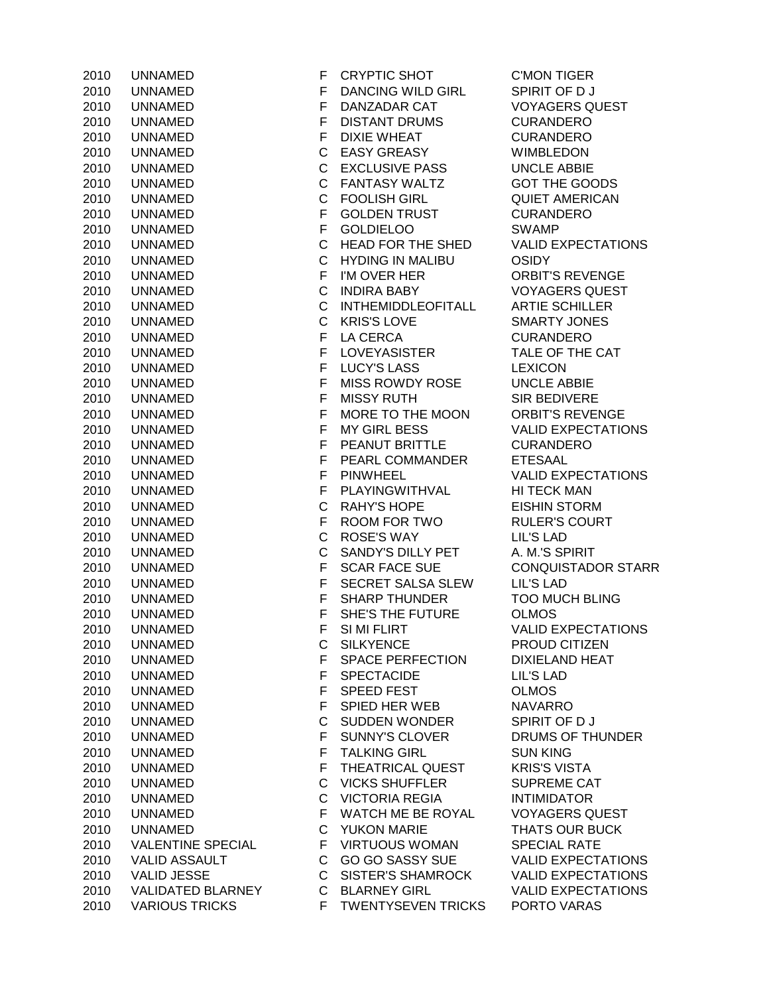| 2010 | UNNAMED               |
|------|-----------------------|
| 2010 | UNNAMED               |
| 2010 | UNNAMED               |
| 2010 | UNNAMED               |
| 2010 | UNNAMED               |
| 2010 | UNNAMED               |
| 2010 | UNNAMED               |
| 2010 | <b>UNNAMED</b>        |
| 2010 |                       |
|      | UNNAMED               |
| 2010 | UNNAMED               |
| 2010 | UNNAMED               |
| 2010 | UNNAMED               |
| 2010 | UNNAMED               |
| 2010 | UNNAMED               |
| 2010 | UNNAMED               |
| 2010 | UNNAMED               |
| 2010 | UNNAMED               |
| 2010 | <b>UNNAMED</b>        |
| 2010 | UNNAMED               |
| 2010 | <b>UNNAMED</b>        |
| 2010 | UNNAMED               |
| 2010 | UNNAMED               |
|      |                       |
| 2010 | UNNAMED               |
| 2010 | UNNAMED               |
| 2010 | UNNAMED               |
| 2010 | UNNAMED               |
| 2010 | UNNAMED               |
| 2010 | UNNAMED               |
| 2010 | UNNAMED               |
| 2010 | <b>UNNAMED</b>        |
| 2010 | UNNAMED               |
| 2010 | <b>UNNAMED</b>        |
| 2010 | UNNAMED               |
| 2010 | UNNAMED               |
| 2010 | <b>UNNAMED</b>        |
| 2010 | UNNAMED               |
|      | <b>UNNAMED</b>        |
| 2010 |                       |
| 2010 | UNNAMED               |
| 2010 | <b>UNNAMED</b>        |
| 2010 | <b>UNNAMED</b>        |
| 2010 | <b>UNNAMED</b>        |
| 2010 | UNNAMED               |
| 2010 | UNNAMED               |
| 2010 | UNNAMED               |
| 2010 | UNNAMED               |
| 2010 | UNNAMED               |
| 2010 | UNNAMED               |
| 2010 | <b>UNNAMED</b>        |
| 2010 | UNNAMED               |
| 2010 | UNNAMED               |
| 2010 | <b>VALENTINE SPE</b>  |
|      | <b>VALID ASSAULT</b>  |
| 2010 |                       |
| 2010 | <b>VALID JESSE</b>    |
| 2010 | <b>VALIDATED BLAF</b> |
| 2010 | <b>VARIOUS TRICKS</b> |

F CRYPTIC SHOT C'MON TIGER F DANCING WILD GIRL SPIRIT OF D J F DANZADAR CAT VOYAGERS QUEST F DISTANT DRUMS CURANDERO F DIXIE WHEAT CURANDERO C EASY GREASY WIMBLEDON C EXCLUSIVE PASS UNCLE ABBIE C FANTASY WALTZ GOT THE GOODS C FOOLISH GIRL QUIET AMERICAN F GOLDEN TRUST CURANDERO F GOLDIELOO SWAMP C HEAD FOR THE SHED VALID EXPECTATIONS C HYDING IN MALIBU OSIDY F I'M OVER HER ORBIT'S REVENGE C INDIRA BABY VOYAGERS QUEST C INTHEMIDDLEOFITALL ARTIE SCHILLER C KRIS'S LOVE SMARTY JONES F LA CERCA CURANDERO F LOVEYASISTER TALE OF THE CAT **2010 F LUCY'S LASS LEXICON** F MISS ROWDY ROSE UNCLE ABBIE **2010 E MISSY RUTH SIR BEDIVERE** F MORE TO THE MOON ORBIT'S REVENGE F MY GIRL BESS VALID EXPECTATIONS 2010 UNNAMED F PEANUT BRITTLE CURANDERO F PEARL COMMANDER ETESAAL F PINWHEEL VALID EXPECTATIONS F PLAYINGWITHVAL HI TECK MAN C RAHY'S HOPE EISHIN STORM F ROOM FOR TWO RULER'S COURT C ROSE'S WAY LIL'S LAD C SANDY'S DILLY PET A. M.'S SPIRIT F SCAR FACE SUE CONQUISTADOR STARR F SECRET SALSA SLEW LIL'S LAD F SHARP THUNDER TOO MUCH BLING F SHE'S THE FUTURE OLMOS F SI MI FLIRT VALID EXPECTATIONS C SILKYENCE PROUD CITIZEN F SPACE PERFECTION DIXIELAND HEAT F SPECTACIDE LIL'S LAD F SPEED FEST OLMOS F SPIED HER WEB NAVARRO C SUDDEN WONDER SPIRIT OF D J F SUNNY'S CLOVER DRUMS OF THUNDER F TALKING GIRL SUN KING F THEATRICAL QUEST KRIS'S VISTA C VICKS SHUFFLER SUPREME CAT C VICTORIA REGIA INTIMIDATOR F WATCH ME BE ROYAL VOYAGERS QUEST C YUKON MARIE THATS OUR BUCK CIAL F VIRTUOUS WOMAN SPECIAL RATE C GO GO SASSY SUE VALID EXPECTATIONS C SISTER'S SHAMROCK VALID EXPECTATIONS 2010 RNEY C BLARNEY GIRL VALID EXPECTATIONS 2010 **S** TWENTYSEVEN TRICKS PORTO VARAS